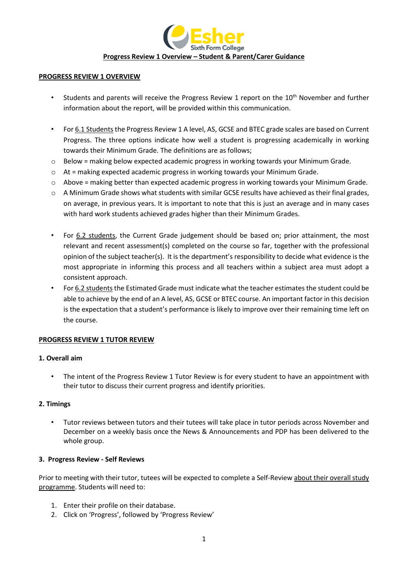

#### **PROGRESS REVIEW 1 OVERVIEW**

- Students and parents will receive the Progress Review 1 report on the  $10<sup>th</sup>$  November and further information about the report, will be provided within this communication.
- For 6.1 Students the Progress Review 1 A level, AS, GCSE and BTEC grade scales are based on Current Progress. The three options indicate how well a student is progressing academically in working towards their Minimum Grade. The definitions are as follows;
- $\circ$  Below = making below expected academic progress in working towards your Minimum Grade.
- $\circ$  At = making expected academic progress in working towards your Minimum Grade.
- $\circ$  Above = making better than expected academic progress in working towards your Minimum Grade.
- $\circ$  A Minimum Grade shows what students with similar GCSE results have achieved as their final grades, on average, in previous years. It is important to note that this is just an average and in many cases with hard work students achieved grades higher than their Minimum Grades.
- For 6.2 students, the Current Grade judgement should be based on; prior attainment, the most relevant and recent assessment(s) completed on the course so far, together with the professional opinion of the subject teacher(s). It is the department's responsibility to decide what evidence is the most appropriate in informing this process and all teachers within a subject area must adopt a consistent approach.
- For 6.2 students the Estimated Grade must indicate what the teacher estimates the student could be able to achieve by the end of an A level, AS, GCSE or BTEC course. An important factor in this decision is the expectation that a student's performance is likely to improve over their remaining time left on the course.

### **PROGRESS REVIEW 1 TUTOR REVIEW**

### **1. Overall aim**

The intent of the Progress Review 1 Tutor Review is for every student to have an appointment with their tutor to discuss their current progress and identify priorities.

### **2. Timings**

• Tutor reviews between tutors and their tutees will take place in tutor periods across November and December on a weekly basis once the News & Announcements and PDP has been delivered to the whole group.

### **3. Progress Review - Self Reviews**

Prior to meeting with their tutor, tutees will be expected to complete a Self-Review about their overall study programme. Students will need to:

- 1. Enter their profile on their database.
- 2. Click on 'Progress', followed by 'Progress Review'